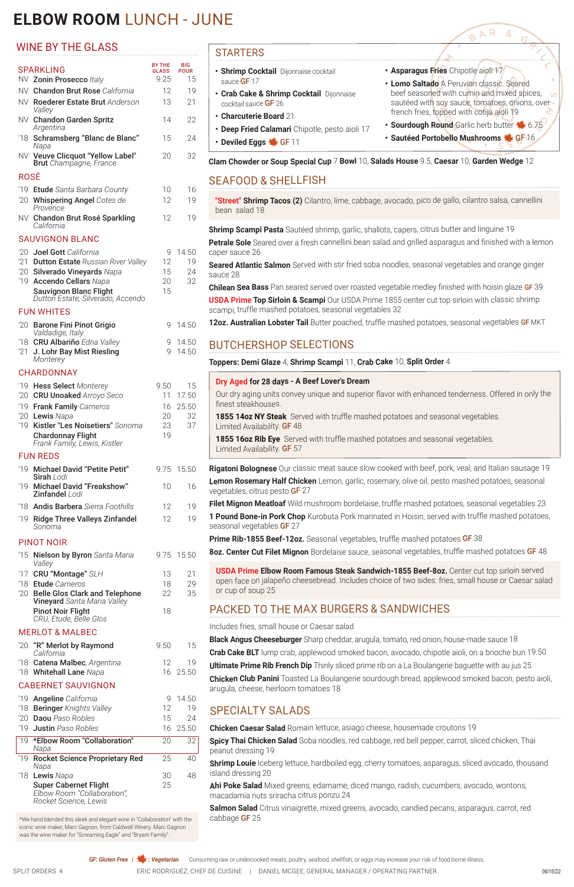# **ELBOW ROOM** LUNCH - JUNE

#### STARTERS

- **• Shrimp Cocktail** Dijonnaise cocktail sauce **GF** 17
- **• Crab Cake & Shrimp Cocktail** Dijonnaise cocktail sauce GF 26
- **• Charcuterie Board** 21
- **• Deep Fried Calamari** Chipotle, pesto aioli 17
- **• Deviled Eggs** GF 11
- **• Asparagus Fries** Chipotle aioli 17
- **• Lomo Saltado** A Peruvian classic. Seared beef seasoned with cumin and mixed spices, sautéed with soy sauce, tomatoes, onions, over french fries, topped with cotija aioli 19

AR

 $\mathbf{B}$ 

**• Sourdough Round** Garlic herb butter  $\blacklozenge$  6.75 **• Sautéed Portobello Mushrooms Ste GF 16** 

**USDA Prime Top Sirloin & Scampi** Our USDA Prime 1855 center cut top sirloin with classic shrimp scampi, truffle mashed potatoes, seasonal vegetables 32

12oz. Australian Lobster Tail Butter poached, truffle mashed potatoes, seasonal vegetables GF MKT

**Clam Chowder or Soup Special Cup** 7 **Bowl** 10, **Salads House** 9.5, **Caesar** 10, **Garden Wedge** 12

# SEAFOOD & SHELLFISH

**"Street" Shrimp Tacos (2)** Cilantro, lime, cabbage, avocado, pico de gallo, cilantro salsa, cannellini bean salad 18

**Shrimp Scampi Pasta** Sautéed shrimp, garlic, shallots, capers, citrus butter and linguine 19

**Petrale Sole** Seared over a fresh cannellini bean salad and grilled asparagus and finished with a lemon caper sauce 26

**Seared Atlantic Salmon** Served with stir fried soba noodles, seasonal vegetables and orange ginger sauce 28

**Chilean Sea Bass** Pan seared served over roasted vegetable medley finished with hoisin glaze GF 39

# BUTCHERSHOP SELECTIONS

**Toppers: Demi Glaze** 4, **Shrimp Scampi** 11, **Crab Cake** 10, **Split Order** 4

|                          | 15               | Dry Aged for 28 days - A Beef Lover's Dream                                                                                                                                                                                 |
|--------------------------|------------------|-----------------------------------------------------------------------------------------------------------------------------------------------------------------------------------------------------------------------------|
|                          | 17.50<br>5 25.50 | Our dry aging units convey unique and superior flavor with enhanced tenderness. Offered in only the<br>finest steakhouses.                                                                                                  |
|                          | 32<br>37         | 1855 14oz NY Steak Served with truffle mashed potatoes and seasonal vegetables.<br>Limited Availability. <b>GF</b> 48                                                                                                       |
|                          |                  | 1855 16oz Rib Eye Served with truffle mashed potatoes and seasonal vegetables.<br>Limited Availability. <b>GF</b> 57                                                                                                        |
|                          | 5 15.50          | <b>Rigatoni Bolognese</b> Our classic meat sauce slow cooked with beef, pork, veal, and Italian sausage 19                                                                                                                  |
| C                        | 16               | Lemon Rosemary Half Chicken Lemon, garlic, rosemary, olive oil, pesto mashed potatoes, seasonal<br>vegetables, citrus pesto GF 27                                                                                           |
| $\overline{2}$           | 19               | Filet Mignon Meatloaf Wild mushroom bordelaise, truffle mashed potatoes, seasonal vegetables 23                                                                                                                             |
| $\overline{2}$           | 19               | 1 Pound Bone-in Pork Chop Kurobuta Pork marinated in Hoisin, served with truffle mashed potatoes,<br>seasonal vegetables GF 27                                                                                              |
|                          |                  | <b>Prime Rib-1855 Beef-12oz.</b> Seasonal vegetables, truffle mashed potatoes GF 38                                                                                                                                         |
|                          | 5 15.50          | 8oz. Center Cut Filet Mignon Bordelaise sauce, seasonal vegetables, truffle mashed potatoes GF 48                                                                                                                           |
| 3<br>3<br>$\overline{2}$ | 21<br>29<br>35   | <b>USDA Prime Elbow Room Famous Steak Sandwich-1855 Beef-8oz.</b> Center cut top sirloin served<br>open face on jalapeño cheesebread. Includes choice of two sides: fries, small house or Caesar salad<br>or cup of soup 25 |
| 3                        |                  | <b>PACKED TO THE MAX BURGERS &amp; SANDWICHES</b>                                                                                                                                                                           |
|                          |                  | Includes fries, small house or Caesar salad                                                                                                                                                                                 |

**Black Angus Cheeseburger** Sharp cheddar, arugula, tomato, red onion, house-made sauce 18

**Crab Cake BLT** lump crab, applewood smoked bacon, avocado, chipotle aioli, on a brioche bun 19.50

**Ultimate Prime Rib French Dip** Thinly sliced prime rib on a La Boulangerie baguette with au jus 25

**Chicken Club Panini** Toasted La Boulangerie sourdough bread, applewood smoked bacon, pesto aioli, arugula, cheese, heirloom tomatoes 18

# SPECIALTY SALADS

**Chicken Caesar Salad** Romain lettuce, asiago cheese, housemade croutons 19

**Spicy Thai Chicken Salad** Soba noodles, red cabbage, red bell pepper, carrot, sliced chicken, Thai peanut dressing 19

**Shrimp Louie** Iceberg lettuce, hardboiled egg, cherry tomatoes, asparagus, sliced avocado, thousand island dressing 20

**Ahi Poke Salad** Mixed greens, edamame, diced mango, radish, cucumbers, avocado, wontons, macadamia nuts sriracha citrus ponzu 24

**Salmon Salad** Citrus vinaigrette, mixed greens, avocado, candied pecans, asparagus, carrot, red cabbage GF 25

**GF: Gluten Free | 1: Vegetarian** Consuming raw or undercooked meats, poultry, seafood, shellfish, or eggs may increase your risk of food borne illness.

SPLIT ORDERS 4 ERIC RODRIGUEZ, CHEF DE CUISINE | DANIEL MCGEE, GENERAL MANAGER / OPERATING PARTNER

# WINE BY THE GLASS

| <b>SPARKLING</b>                                                                                                                                                                                                                      | <b>BY THE</b><br><b>GLASS</b><br>9.25 | BIG<br><b>POUR</b><br>15         |
|---------------------------------------------------------------------------------------------------------------------------------------------------------------------------------------------------------------------------------------|---------------------------------------|----------------------------------|
| NV Zonin Prosecco Italy                                                                                                                                                                                                               |                                       |                                  |
| NV Chandon Brut Rose California<br>NV Roederer Estate Brut Anderson<br>Valley                                                                                                                                                         | 12<br>13                              | 19<br>21                         |
| NV Chandon Garden Spritz<br>Argentina                                                                                                                                                                                                 | 14                                    | 22                               |
| '18 Schramsberg "Blanc de Blanc"<br>Napa                                                                                                                                                                                              | 15                                    | 24                               |
| NV Veuve Clicquot "Yellow Label"<br><b>Brut</b> Champagne, France                                                                                                                                                                     | 20                                    | 32                               |
| ROSÉ                                                                                                                                                                                                                                  |                                       |                                  |
| '19 Etude Santa Barbara County<br>'20 Whispering Angel Cotes de<br>Provence                                                                                                                                                           | 10<br>12                              | 16<br>19                         |
| NV Chandon Brut Rosé Sparkling<br>California                                                                                                                                                                                          | 12                                    | 19                               |
| <b>SAUVIGNON BLANC</b>                                                                                                                                                                                                                |                                       |                                  |
| '20<br>Joel Gott California<br>'21 Dutton Estate Russian River Valley<br>20<br>Silverado Vineyards Napa<br>'19 Accendo Cellars Napa<br><b>Sauvignon Blanc Flight</b><br>Dutton Estate, Silverado, Accendo                             | 9<br>12<br>15<br>20<br>15             | 14.50<br>19<br>24<br>32          |
| <b>FUN WHITES</b>                                                                                                                                                                                                                     |                                       |                                  |
| '20<br><b>Barone Fini Pinot Grigio</b><br>Valdadige, Italy                                                                                                                                                                            | 9                                     | 14.50                            |
| <b>CRU Albariño</b> Edna Valley<br>'18<br>21<br>J. Lohr Bay Mist Riesling<br>Monterey                                                                                                                                                 | 9<br>9                                | 14.50<br>14.50                   |
| <b>CHARDONNAY</b>                                                                                                                                                                                                                     |                                       |                                  |
| 19<br><b>Hess Select Monterey</b><br>'20<br><b>CRU Unoaked Arroyo Seco</b><br>19<br><b>Frank Family Carneros</b><br>'20 Lewis Napa<br>'19 Kistler "Les Noisetiers" Sonoma<br><b>Chardonnay Flight</b><br>Frank Family, Lewis, Kistler | 9.50<br>11<br>16<br>20<br>23<br>19    | 15<br>17.50<br>25.50<br>32<br>37 |
| <b>FUN REDS</b>                                                                                                                                                                                                                       |                                       |                                  |
| $19 -$<br><b>Michael David "Petite Petit"</b><br>Sirah Lodi                                                                                                                                                                           | 9.75                                  | 15.50                            |
| <b>Michael David "Freakshow"</b><br>19<br>Zinfandel Lodi                                                                                                                                                                              | 10                                    | 16                               |
| '18 Andis Barbera Sierra Foothills                                                                                                                                                                                                    | 12                                    | 19                               |
| 19<br><b>Ridge Three Valleys Zinfandel</b><br>Sonoma                                                                                                                                                                                  | 12                                    | 19                               |
| <b>PINOT NOIR</b>                                                                                                                                                                                                                     |                                       |                                  |
| 15<br>Nielson by Byron Santa Maria<br>Valley                                                                                                                                                                                          | 9.75                                  | 15.50                            |
| '17 CRU "Montage" SLH<br>'18 Etude Carneros<br>'20 Belle Glos Clark and Telephone<br><b>Vineyard</b> Santa Maria Valley<br><b>Pinot Noir Flight</b><br>CRU, Etude, Belle Glos                                                         | 13<br>18<br>22<br>18                  | 21<br>29<br>35                   |
| <b>MERLOT &amp; MALBEC</b>                                                                                                                                                                                                            |                                       |                                  |
| '20 "R" Merlot by Raymond                                                                                                                                                                                                             | 9.50                                  | 15                               |

|    | .<br>California                                                                      |    |          |
|----|--------------------------------------------------------------------------------------|----|----------|
|    | '18 Catena Malbec, Argentina                                                         | 12 | 19       |
|    | '18 Whitehall Lane Napa                                                              |    | 16 25.50 |
|    | <b>CABERNET SAUVIGNON</b>                                                            |    |          |
|    | '19 Angeline California                                                              | q  | 14.50    |
|    | '18 Beringer Knights Valley                                                          | 12 | 19       |
|    | '20 Daou Paso Robles                                                                 | 15 | 24       |
|    | '19 Justin Paso Robles                                                               |    | 16 25.50 |
| 19 | *Elbow Room "Collaboration"<br>Napa                                                  | 20 | 32       |
| 19 | <b>Rocket Science Proprietary Red</b><br>Napa                                        | 25 | 40       |
|    | '18 Lewis Napa                                                                       | 30 | 48       |
|    | <b>Super Cabernet Flight</b><br>Elbow Room "Collaboration",<br>Rocket Science, Lewis | 25 |          |

\*We hand-blended this sleek and elegant wine in "Collaboration" with the iconic wine maker, Marc Gagnon, from Caldwell Winery. Marc Gagnon was the wine maker for "Screaming Eagle" and "Bryant Family".